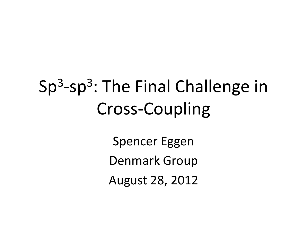## $Sp<sup>3</sup>$ -sp<sup>3</sup>: The Final Challenge in Cross-Coupling

Spencer Eggen Denmark Group August 28, 2012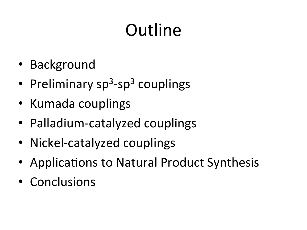## **Outline**

- Background'
- Preliminary  $sp^3$ -sp<sup>3</sup> couplings
- Kumada couplings
- Palladium-catalyzed couplings
- Nickel-catalyzed couplings
- Applications to Natural Product Synthesis
- Conclusions'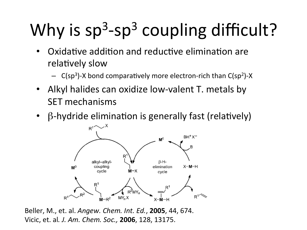# Why is  $sp^3$ -sp<sup>3</sup> coupling difficult?

- Oxidative addition and reductive elimination are relatively slow
	- $-$  C(sp<sup>3</sup>)-X bond comparatively more electron-rich than  $C(sp^2)$ -X
- Alkyl halides can oxidize low-valent T. metals by SET mechanisms
- $\beta$ -hydride elimination is generally fast (relatively)



Beller, M., et. al. *Angew. Chem. Int. Ed.*, 2005, 44, 674. Vicic,'et.'al*.'J.'Am.'Chem.'Soc.,'***2006**,'128,'13175.'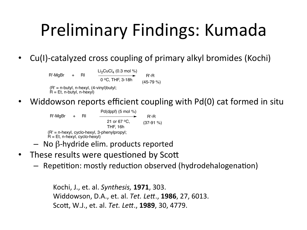## Preliminary Findings: Kumada

• Cu(I)-catalyzed cross coupling of primary alkyl bromides (Kochi)

R'-MgBr + RI  $Li_2CuCl_4$  (0.3 mol %) 0 oC, THF, 3-18h R'-R (45-79 %)

(R' = n-butyl, n-hexyl, (4-vinyl)butyl;  $R = Et$ , n-butyl, n-hexyl)

• Widdowson reports efficient coupling with Pd(0) cat formed in situ

 $R'-MgBr + RI$ Pd(dppf)  $(5 \text{ mol } \%)$ 21 or 67 °C. THF, 16h R'-R (37-91 %) (R' = n-hexyl, cyclo-hexyl, 3-phenylpropyl;  $R = Et$ , n-hexyl, cyclo-hexyl)

- $-$  No β-hydride elim. products reported
- These results were questioned by Scott
	- $-$  Repetition: mostly reduction observed (hydrodehalogenation)

```
Kochi,'J.,'et.'al.'Synthesis, 1971,'303.'
Widdowson, D.A., et. al. Tet. Lett., 1986, 27, 6013.
Sco_,'W.J.,'et.'al.'Tet.'Le9.,'1989,'30,'4779.'
```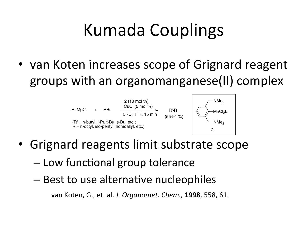## Kumada'Couplings'

• van Koten increases scope of Grignard reagent groups with an organomanganese(II) complex



- Grignard reagents limit substrate scope
	- Low functional group tolerance
	- Best to use alternative nucleophiles

van'Koten,'G.,'et.'al.'*J.'Organomet.'Chem.,* **1998**,'558,'61.'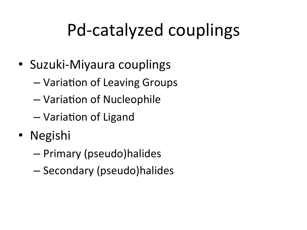## Pd-catalyzed couplings

- Suzuki-Miyaura couplings
	- Variation of Leaving Groups
	- Variation of Nucleophile
	- Variation of Ligand
- Negishi
	- Primary'(pseudo)halides'
	- Secondary'(pseudo)halides'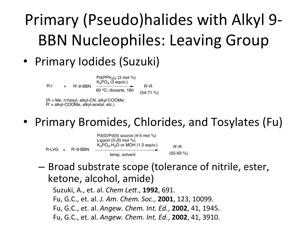## Primary (Pseudo)halides with Alkyl 9-BBN Nucleophiles: Leaving Group

#### • Primary Iodides (Suzuki)

 $R-I + R'-9-BBN$ 

 $Pd(PPh_3)_4$  (3 mol %)  $K_3PO_4$  (3 equiv.) 60 oC, dioxane, 16h

R'-R (54-71 %)

(R = Me, n-hexyl, alkyl-CN, alkyl-COOMe; R' = alkyl-COOMe, alkyl-acetal, etc.)

• Primary Bromides, Chlorides, and Tosylates (Fu)



– Broad substrate scope (tolerance of nitrile, ester, ketone, alcohol, amide)

Suzuki, A., et. al. *Chem Lett.*, **1992**, 691. Fu, G.C., et. al. *J. Am. Chem. Soc.*, **2001**, 123, 10099. Fu,'G.C.,'et.'al.'*Angew.'Chem.'Int.'Ed.*,'**2002**,'41,'1945.' Fu,'G.C.,'et.'al.'*Angew.'Chem.'Int.'Ed.*,'**2002**,'41,'3910.'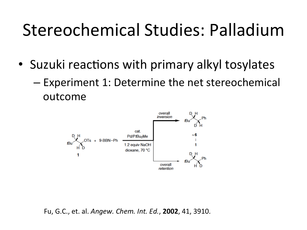#### Stereochemical Studies: Palladium

- Suzuki reactions with primary alkyl tosylates
	- Experiment 1: Determine the net stereochemical outcome'



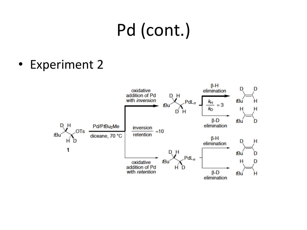## Pd (cont.)

• Experiment 2

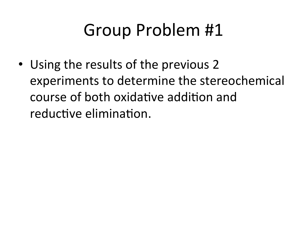## Group Problem #1

• Using the results of the previous 2 experiments to determine the stereochemical course of both oxidative addition and reductive elimination.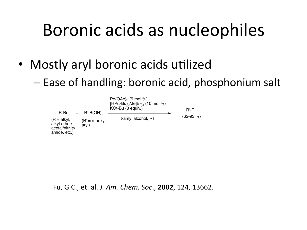#### Boronic acids as nucleophiles

- Mostly aryl boronic acids utilized
	- Ease of handling: boronic acid, phosphonium salt



Fu, G.C., et. al. *J. Am. Chem. Soc.*, **2002**, 124, 13662.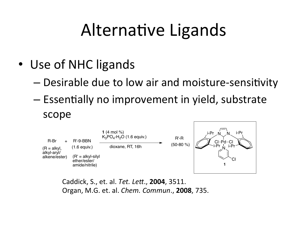#### Alternative Ligands

- Use of NHC ligands
	- Desirable due to low air and moisture-sensitivity
	- $-$  Essentially no improvement in yield, substrate scope



Caddick,'S.,'et.'al.'*Tet.'Le9*.,'**2004**,'3511.' Organ,'M.G.'et.'al.'*Chem.'Commun*.,'**2008**,'735.'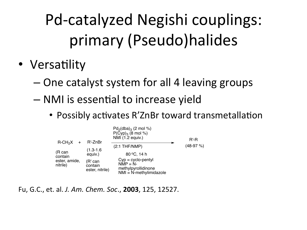Pd-catalyzed Negishi couplings: primary'(Pseudo)halides'

- Versatility
	- One catalyst system for all 4 leaving groups
	- NMI is essential to increase yield
		- Possibly activates R'ZnBr toward transmetallation



Fu,'G.C.,'et.'al.'*J.'Am.'Chem.'Soc*.,'**2003**,'125,'12527.'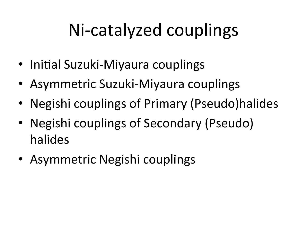## Ni-catalyzed couplings

- Initial Suzuki-Miyaura couplings
- Asymmetric Suzuki-Miyaura couplings
- Negishi couplings of Primary (Pseudo)halides
- Negishi couplings of Secondary (Pseudo) halides'
- Asymmetric Negishi couplings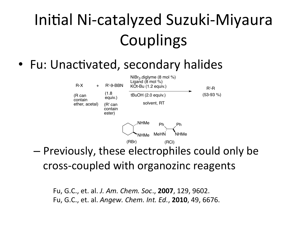#### Initial Ni-catalyzed Suzuki-Miyaura **Couplings**

• Fu: Unactivated, secondary halides



– Previously, these electrophiles could only be cross-coupled with organozinc reagents

Fu, G.C., et. al. *J. Am. Chem. Soc.*, **2007**, 129, 9602. Fu,'G.C.,'et.'al.'*Angew.'Chem.'Int.'Ed.*,'**2010**,'49,'6676.'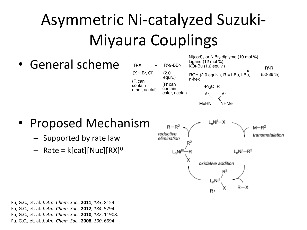#### Asymmetric Ni-catalyzed Suzuki-Miyaura Couplings

General scheme



- Proposed'Mechanism'
	- Supported by rate law
	- $-$  Rate = k[cat][Nuc][RX]<sup>0</sup>



Fu,'G.C.,'et.'al.'*J.'Am.'Chem.'Soc*.,'**2011**,'*133*,'8154.' Fu,'G.C.,'et.'al.'*J.'Am.'Chem.'Soc*.,'**2012**,'*134*,'5794.' Fu,'G.C.,'et.'al.'*J.'Am.'Chem.'Soc*.,'**2010**,'*132*,'11908.' Fu,'G.C.,'et.'al.'*J.'Am.'Chem.'Soc*.,'**2008**,'*130*,'6694.'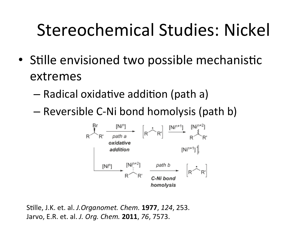### Stereochemical Studies: Nickel

- Stille envisioned two possible mechanistic extremes'
	- Radical oxidative addition (path a)
	- Reversible C-Ni bond homolysis (path b)



Stille, J.K. et. al. *J.Organomet. Chem.* **1977**, 124, 253. Jarvo,'E.R.'et.'al.'*J.'Org.'Chem.'***2011**,'*76*,'7573.'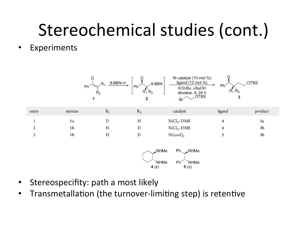## Stereochemical studies (cont.)

• Experiments





- Stereospecifity: path a most likely
- Transmetallation (the turnover-limiting step) is retentive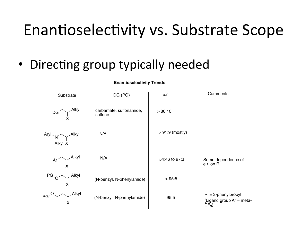#### Enantioselectivity vs. Substrate Scope

• Directing group typically needed

| Substrate                                                                            | DG (PG)                            | e.r.             | Comments                                                      |
|--------------------------------------------------------------------------------------|------------------------------------|------------------|---------------------------------------------------------------|
| Alkyı<br>DG <sub>2</sub>                                                             | carbamate, sulfonamide,<br>sulfone | >86:10           |                                                               |
| $\begin{array}{c}\n\text{Aryl} \\ \downarrow N \\ \text{Alkyl X}\n\end{array}$ Alkyl | N/A                                | $>91:9$ (mostly) |                                                               |
| $\curlyvee^\mathsf{Alkyl}$<br>$Ar^{\sim}$                                            | N/A                                | 54:46 to 97:3    | Some dependence of<br>e.r. on R'                              |
| $PG \sim \bigvee$ Alkyl                                                              | (N-benzyl, N-phenylamide)          | >95:5            |                                                               |
| $PG^2$                                                                               | (N-benzyl, N-phenylamide)          | 95:5             | $R' = 3$ -phenylpropyl<br>(Ligand group Ar = meta-<br>$CF3$ ) |

**Enantioselectivity Trends**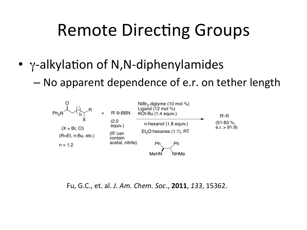#### Remote Directing Groups

- $\gamma$ -alkylation of N,N-diphenylamides
	- No apparent dependence of e.r. on tether length



Fu,'G.C.,'et.'al.'*J.'Am.'Chem.'Soc*.,'**2011**,'*133*,'15362.'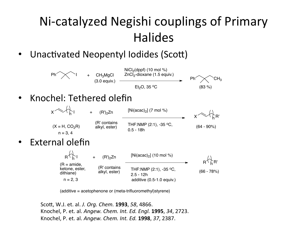#### Ni-catalyzed Negishi couplings of Primary **Halides**

• Unactivated Neopentyl Iodides (Scott)





Sco\_,'W.J.'et.'al.'*J.'Org.'Chem.'***1993**,'*58*,'4866.' Knochel,'P.'et.'al.'*Angew.'Chem.'Int.'Ed.'Engl.'***1995**,'*34*,'2723.' Knochel,'P.'et.'al.'*Angew.'Chem.'Int.'Ed.'***1998**,'*37*,'2387.'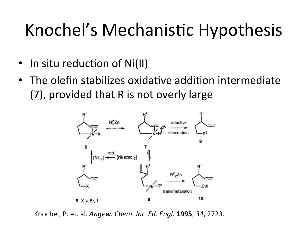## Knochel's Mechanistic Hypothesis

- $\cdot$  In situ reduction of Ni(II)
- The olefin stabilizes oxidative addition intermediate (7), provided that R is not overly large



Knochel,'P.'et.'al.'*Angew.'Chem.'Int.'Ed.'Engl.'***1995**,'*34*,'2723.'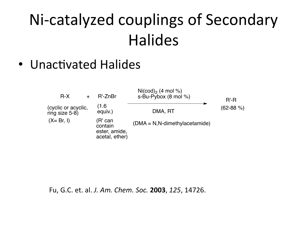#### Ni-catalyzed couplings of Secondary **Halides**

• Unactivated Halides



Fu,'G.C.'et.'al.'*J.'Am.'Chem.'Soc.'***2003**,'*125*,'14726.'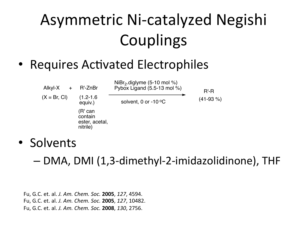#### Asymmetric Ni-catalyzed Negishi **Couplings**

• Requires Activated Electrophiles



• Solvents

 $-$  DMA, DMI (1,3-dimethyl-2-imidazolidinone), THF

Fu,'G.C.'et.'al.'*J.'Am.'Chem.'Soc.'***2005**,'*127*,'4594.' Fu,'G.C.'et.'al.'*J.'Am.'Chem.'Soc.'***2005**,'*127*,'10482.' Fu,'G.C.'et.'al.'*J.'Am.'Chem.'Soc.'***2008**,'*130*,'2756.'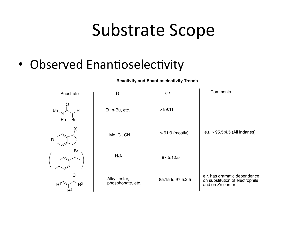#### Substrate Scope

• Observed Enantioselectivity

 $R^2$ 

Bn、<sub>N</sub> Br Et, n-Bu, etc. e.r.  $> 89:11$ Me, Cl, CN  $\vert$  > 91:9 (mostly)  $R<sup>1</sup>$ Substrate | R | e.r. | Comments e.r. has dramatic dependence on substitution of electrophile and on Zn center Alkyl, ester, 185:15 to 97.5:2.5 phosphonate, etc. O Ph R R X  $R<sup>3</sup>$ Cl Br e.r. > 95.5:4.5 (All indanes) N/A 87.5:12.5

**Reactivity and Enantioselectivity Trends**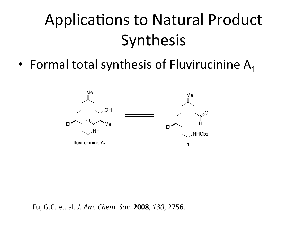#### Applications to Natural Product **Synthesis**

• Formal total synthesis of Fluvirucinine  $A_1$ 



Fu,'G.C.'et.'al.'*J.'Am.'Chem.'Soc.'***2008**,'*130*,'2756.'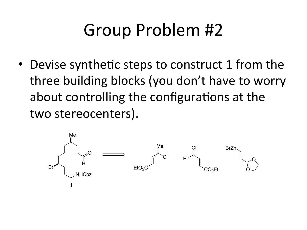## Group Problem #2

• Devise synthetic steps to construct 1 from the three building blocks (you don't have to worry about controlling the configurations at the two stereocenters).

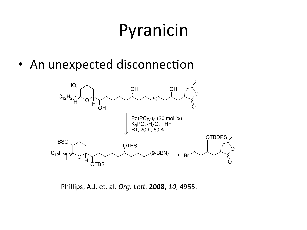## Pyranicin

• An unexpected disconnection



Phillips, A.J. et. al. Org. Lett. 2008, 10, 4955.